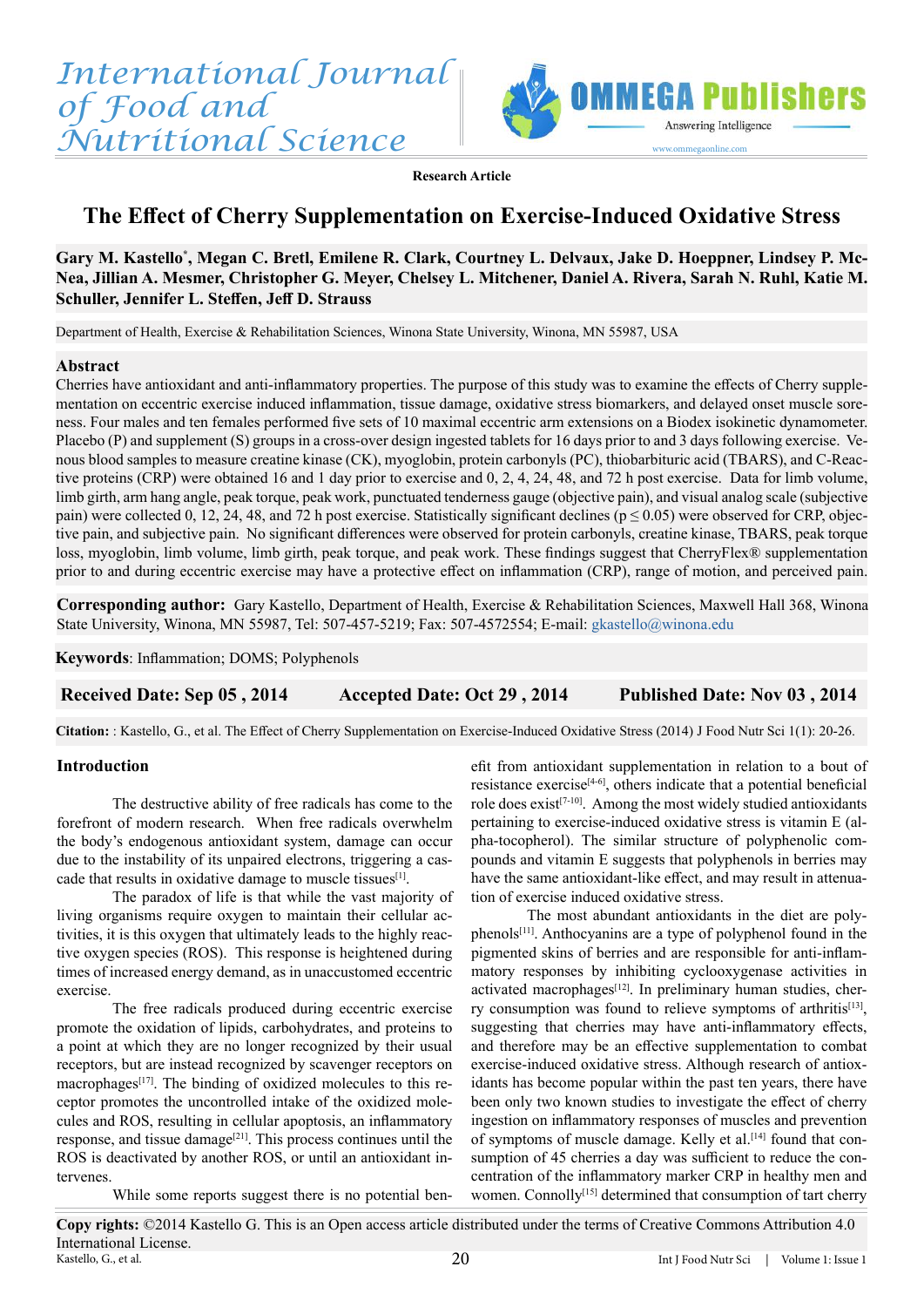

**Research Article**

# **The Effect of Cherry Supplementation on Exercise-Induced Oxidative Stress**

# Gary M. Kastello\*, Megan C. Bretl, Emilene R. Clark, Courtney L. Delvaux, Jake D. Hoeppner, Lindsey P. Mc-**Nea, Jillian A. Mesmer, Christopher G. Meyer, Chelsey L. Mitchener, Daniel A. Rivera, Sarah N. Ruhl, Katie M. Schuller, Jennifer L. Steffen, Jeff D. Strauss**

Department of Health, Exercise & Rehabilitation Sciences, Winona State University, Winona, MN 55987, USA

### **Abstract**

Cherries have antioxidant and anti-inflammatory properties. The purpose of this study was to examine the effects of Cherry supplementation on eccentric exercise induced inflammation, tissue damage, oxidative stress biomarkers, and delayed onset muscle soreness. Four males and ten females performed five sets of 10 maximal eccentric arm extensions on a Biodex isokinetic dynamometer. Placebo (P) and supplement (S) groups in a cross-over design ingested tablets for 16 days prior to and 3 days following exercise. Venous blood samples to measure creatine kinase (CK), myoglobin, protein carbonyls (PC), thiobarbituric acid (TBARS), and C-Reactive proteins (CRP) were obtained 16 and 1 day prior to exercise and 0, 2, 4, 24, 48, and 72 h post exercise. Data for limb volume, limb girth, arm hang angle, peak torque, peak work, punctuated tenderness gauge (objective pain), and visual analog scale (subjective pain) were collected 0, 12, 24, 48, and 72 h post exercise. Statistically significant declines ( $p \le 0.05$ ) were observed for CRP, objective pain, and subjective pain. No significant differences were observed for protein carbonyls, creatine kinase, TBARS, peak torque loss, myoglobin, limb volume, limb girth, peak torque, and peak work. These findings suggest that CherryFlex® supplementation prior to and during eccentric exercise may have a protective effect on inflammation (CRP), range of motion, and perceived pain.

**Corresponding author:** Gary Kastello, Department of Health, Exercise & Rehabilitation Sciences, Maxwell Hall 368, Winona State University, Winona, MN 55987, Tel: 507-457-5219; Fax: 507-4572554; E-mail: [gkastello@winona.edu](mailto:gkastello%40winona.edu?subject=)

**Keywords**: Inflammation; DOMS; Polyphenols

# **Received Date: Sep 05 , 2014 Accepted Date: Oct 29 , 2014 Published Date: Nov 03 , 2014**

**Citation:** : Kastello, G., et al. The Effect of Cherry Supplementation on Exercise-Induced Oxidative Stress (2014) J Food Nutr Sci 1(1): 20-26.

# **Introduction**

The destructive ability of free radicals has come to the forefront of modern research. When free radicals overwhelm the body's endogenous antioxidant system, damage can occur due to the instability of its unpaired electrons, triggering a cascade that results in oxidative damage to muscle tissues<sup>[1]</sup>.

The paradox of life is that while the vast majority of living organisms require oxygen to maintain their cellular activities, it is this oxygen that ultimately leads to the highly reactive oxygen species (ROS). This response is heightened during times of increased energy demand, as in unaccustomed eccentric exercise.

The free radicals produced during eccentric exercise promote the oxidation of lipids, carbohydrates, and proteins to a point at which they are no longer recognized by their usual receptors, but are instead recognized by scavenger receptors on macrophages<sup>[17]</sup>. The binding of oxidized molecules to this receptor promotes the uncontrolled intake of the oxidized molecules and ROS, resulting in cellular apoptosis, an inflammatory response, and tissue damage<sup>[21]</sup>. This process continues until the ROS is deactivated by another ROS, or until an antioxidant intervenes.

efit from antioxidant supplementation in relation to a bout of resistance exercise<sup>[4-6]</sup>, others indicate that a potential beneficial role does exist<sup>[7-10]</sup>. Among the most widely studied antioxidants pertaining to exercise-induced oxidative stress is vitamin E (alpha-tocopherol). The similar structure of polyphenolic compounds and vitamin E suggests that polyphenols in berries may have the same antioxidant-like effect, and may result in attenuation of exercise induced oxidative stress.

The most abundant antioxidants in the diet are polyphenols<sup>[11]</sup>. Anthocyanins are a type of polyphenol found in the pigmented skins of berries and are responsible for anti-inflammatory responses by inhibiting cyclooxygenase activities in activated macrophages<sup>[12]</sup>. In preliminary human studies, cherry consumption was found to relieve symptoms of arthritis<sup>[13]</sup>, suggesting that cherries may have anti-inflammatory effects, and therefore may be an effective supplementation to combat exercise-induced oxidative stress. Although research of antioxidants has become popular within the past ten years, there have been only two known studies to investigate the effect of cherry ingestion on inflammatory responses of muscles and prevention of symptoms of muscle damage. Kelly et al.<sup>[14]</sup> found that consumption of 45 cherries a day was sufficient to reduce the concentration of the inflammatory marker CRP in healthy men and women. Connolly<sup>[15]</sup> determined that consumption of tart cherry

While some reports suggest there is no potential ben-

**Copy rights:** ©2014 Kastello G. This is an Open access article distributed under the terms of Creative Commons Attribution 4.0 International License. Kastello, G., et al.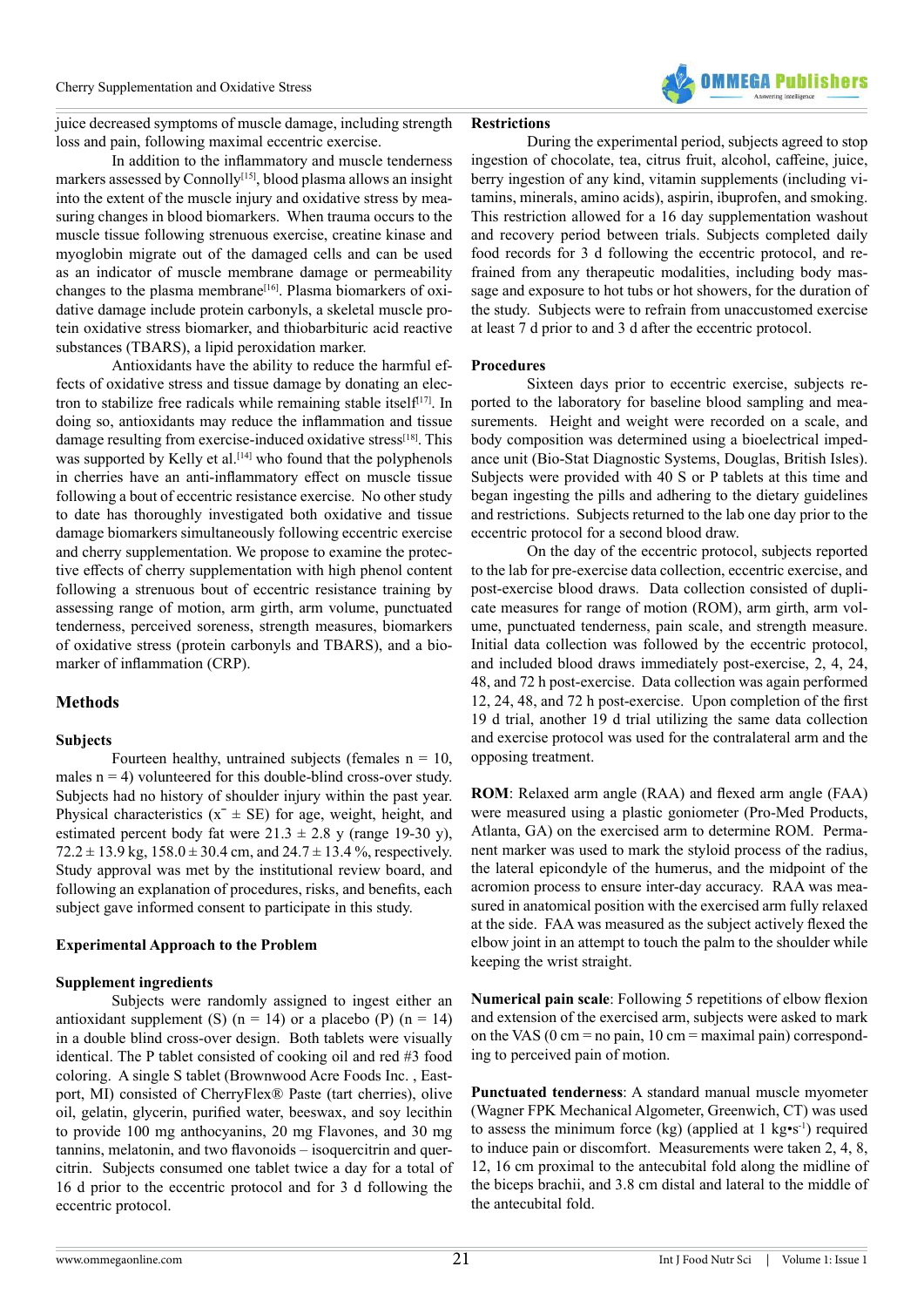

juice decreased symptoms of muscle damage, including strength loss and pain, following maximal eccentric exercise.

## In addition to the inflammatory and muscle tenderness markers assessed by Connolly<sup>[15]</sup>, blood plasma allows an insight into the extent of the muscle injury and oxidative stress by measuring changes in blood biomarkers. When trauma occurs to the muscle tissue following strenuous exercise, creatine kinase and myoglobin migrate out of the damaged cells and can be used as an indicator of muscle membrane damage or permeability changes to the plasma membrane<sup>[16]</sup>. Plasma biomarkers of oxidative damage include protein carbonyls, a skeletal muscle protein oxidative stress biomarker, and thiobarbituric acid reactive substances (TBARS), a lipid peroxidation marker.

Antioxidants have the ability to reduce the harmful effects of oxidative stress and tissue damage by donating an electron to stabilize free radicals while remaining stable itself $[17]$ . In doing so, antioxidants may reduce the inflammation and tissue damage resulting from exercise-induced oxidative stress<sup>[18]</sup>. This was supported by Kelly et al.<sup>[14]</sup> who found that the polyphenols in cherries have an anti-inflammatory effect on muscle tissue following a bout of eccentric resistance exercise. No other study to date has thoroughly investigated both oxidative and tissue damage biomarkers simultaneously following eccentric exercise and cherry supplementation. We propose to examine the protective effects of cherry supplementation with high phenol content following a strenuous bout of eccentric resistance training by assessing range of motion, arm girth, arm volume, punctuated tenderness, perceived soreness, strength measures, biomarkers of oxidative stress (protein carbonyls and TBARS), and a biomarker of inflammation (CRP).

### **Methods**

### **Subjects**

Fourteen healthy, untrained subjects (females  $n = 10$ , males  $n = 4$ ) volunteered for this double-blind cross-over study. Subjects had no history of shoulder injury within the past year. Physical characteristics  $(x^- \pm SE)$  for age, weight, height, and estimated percent body fat were  $21.3 \pm 2.8$  y (range 19-30 y),  $72.2 \pm 13.9$  kg,  $158.0 \pm 30.4$  cm, and  $24.7 \pm 13.4$  %, respectively. Study approval was met by the institutional review board, and following an explanation of procedures, risks, and benefits, each subject gave informed consent to participate in this study.

### **Experimental Approach to the Problem**

### **Supplement ingredients**

Subjects were randomly assigned to ingest either an antioxidant supplement (S) ( $n = 14$ ) or a placebo (P) ( $n = 14$ ) in a double blind cross-over design. Both tablets were visually identical. The P tablet consisted of cooking oil and red #3 food coloring. A single S tablet (Brownwood Acre Foods Inc. , Eastport, MI) consisted of CherryFlex® Paste (tart cherries), olive oil, gelatin, glycerin, purified water, beeswax, and soy lecithin to provide 100 mg anthocyanins, 20 mg Flavones, and 30 mg tannins, melatonin, and two flavonoids – isoquercitrin and quercitrin. Subjects consumed one tablet twice a day for a total of 16 d prior to the eccentric protocol and for 3 d following the eccentric protocol.

### **Restrictions**

During the experimental period, subjects agreed to stop ingestion of chocolate, tea, citrus fruit, alcohol, caffeine, juice, berry ingestion of any kind, vitamin supplements (including vitamins, minerals, amino acids), aspirin, ibuprofen, and smoking. This restriction allowed for a 16 day supplementation washout and recovery period between trials. Subjects completed daily food records for 3 d following the eccentric protocol, and refrained from any therapeutic modalities, including body massage and exposure to hot tubs or hot showers, for the duration of the study. Subjects were to refrain from unaccustomed exercise at least 7 d prior to and 3 d after the eccentric protocol.

### **Procedures**

Sixteen days prior to eccentric exercise, subjects reported to the laboratory for baseline blood sampling and measurements. Height and weight were recorded on a scale, and body composition was determined using a bioelectrical impedance unit (Bio-Stat Diagnostic Systems, Douglas, British Isles). Subjects were provided with 40 S or P tablets at this time and began ingesting the pills and adhering to the dietary guidelines and restrictions. Subjects returned to the lab one day prior to the eccentric protocol for a second blood draw.

On the day of the eccentric protocol, subjects reported to the lab for pre-exercise data collection, eccentric exercise, and post-exercise blood draws. Data collection consisted of duplicate measures for range of motion (ROM), arm girth, arm volume, punctuated tenderness, pain scale, and strength measure. Initial data collection was followed by the eccentric protocol, and included blood draws immediately post-exercise, 2, 4, 24, 48, and 72 h post-exercise. Data collection was again performed 12, 24, 48, and 72 h post-exercise. Upon completion of the first 19 d trial, another 19 d trial utilizing the same data collection and exercise protocol was used for the contralateral arm and the opposing treatment.

**ROM**: Relaxed arm angle (RAA) and flexed arm angle (FAA) were measured using a plastic goniometer (Pro-Med Products, Atlanta, GA) on the exercised arm to determine ROM. Permanent marker was used to mark the styloid process of the radius, the lateral epicondyle of the humerus, and the midpoint of the acromion process to ensure inter-day accuracy. RAA was measured in anatomical position with the exercised arm fully relaxed at the side. FAA was measured as the subject actively flexed the elbow joint in an attempt to touch the palm to the shoulder while keeping the wrist straight.

**Numerical pain scale**: Following 5 repetitions of elbow flexion and extension of the exercised arm, subjects were asked to mark on the VAS ( $0 \text{ cm} = \text{no pain}$ ,  $10 \text{ cm} = \text{maximal pain}$ ) corresponding to perceived pain of motion.

**Punctuated tenderness**: A standard manual muscle myometer (Wagner FPK Mechanical Algometer, Greenwich, CT) was used to assess the minimum force (kg) (applied at 1 kg•s<sup>-1</sup>) required to induce pain or discomfort. Measurements were taken 2, 4, 8, 12, 16 cm proximal to the antecubital fold along the midline of the biceps brachii, and 3.8 cm distal and lateral to the middle of the antecubital fold.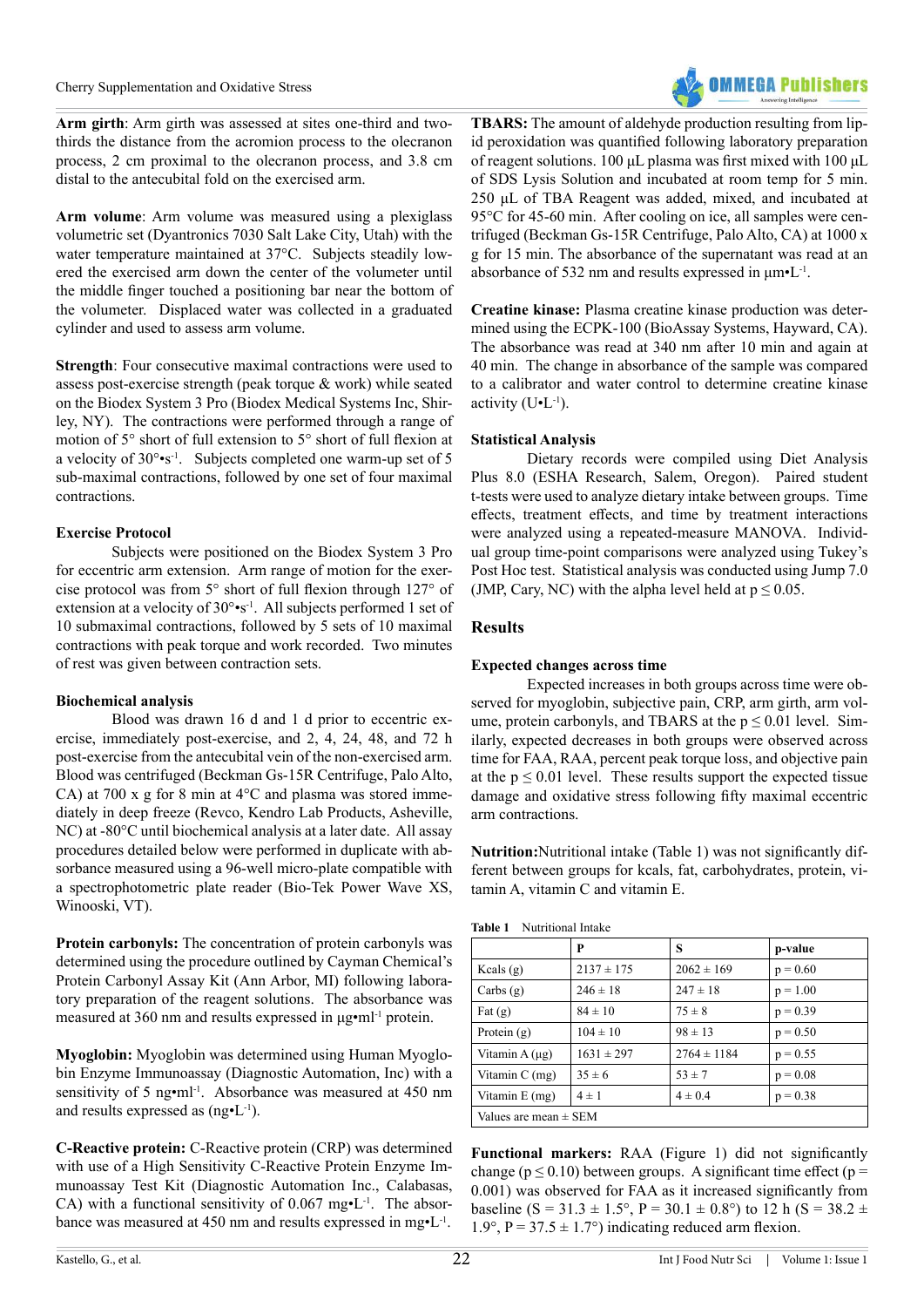

**Arm girth**: Arm girth was assessed at sites one-third and twothirds the distance from the acromion process to the olecranon process, 2 cm proximal to the olecranon process, and 3.8 cm distal to the antecubital fold on the exercised arm.

**Arm volume**: Arm volume was measured using a plexiglass volumetric set (Dyantronics 7030 Salt Lake City, Utah) with the water temperature maintained at 37°C. Subjects steadily lowered the exercised arm down the center of the volumeter until the middle finger touched a positioning bar near the bottom of the volumeter. Displaced water was collected in a graduated cylinder and used to assess arm volume.

**Strength**: Four consecutive maximal contractions were used to assess post-exercise strength (peak torque & work) while seated on the Biodex System 3 Pro (Biodex Medical Systems Inc, Shirley, NY). The contractions were performed through a range of motion of 5° short of full extension to 5° short of full flexion at a velocity of 30°•s<sup>-1</sup>. Subjects completed one warm-up set of 5 sub-maximal contractions, followed by one set of four maximal contractions.

# **Exercise Protocol**

Subjects were positioned on the Biodex System 3 Pro for eccentric arm extension. Arm range of motion for the exercise protocol was from 5° short of full flexion through 127° of extension at a velocity of 30°•s<sup>-1</sup>. All subjects performed 1 set of 10 submaximal contractions, followed by 5 sets of 10 maximal contractions with peak torque and work recorded. Two minutes of rest was given between contraction sets.

### **Biochemical analysis**

Blood was drawn 16 d and 1 d prior to eccentric exercise, immediately post-exercise, and 2, 4, 24, 48, and 72 h post-exercise from the antecubital vein of the non-exercised arm. Blood was centrifuged (Beckman Gs-15R Centrifuge, Palo Alto, CA) at 700 x g for 8 min at 4°C and plasma was stored immediately in deep freeze (Revco, Kendro Lab Products, Asheville, NC) at -80°C until biochemical analysis at a later date. All assay procedures detailed below were performed in duplicate with absorbance measured using a 96-well micro-plate compatible with a spectrophotometric plate reader (Bio-Tek Power Wave XS, Winooski, VT).

**Protein carbonyls:** The concentration of protein carbonyls was determined using the procedure outlined by Cayman Chemical's Protein Carbonyl Assay Kit (Ann Arbor, MI) following laboratory preparation of the reagent solutions. The absorbance was measured at 360 nm and results expressed in μg•ml-1 protein.

**Myoglobin:** Myoglobin was determined using Human Myoglobin Enzyme Immunoassay (Diagnostic Automation, Inc) with a sensitivity of 5 ng•ml<sup>-1</sup>. Absorbance was measured at 450 nm and results expressed as  $(ng\bullet L^{-1})$ .

**C-Reactive protein:** C-Reactive protein (CRP) was determined with use of a High Sensitivity C-Reactive Protein Enzyme Immunoassay Test Kit (Diagnostic Automation Inc., Calabasas, CA) with a functional sensitivity of  $0.067$  mg $\cdot$ L<sup>-1</sup>. The absorbance was measured at 450 nm and results expressed in mg•L<sup>-1</sup>.

**TBARS:** The amount of aldehyde production resulting from lipid peroxidation was quantified following laboratory preparation of reagent solutions. 100 μL plasma was first mixed with 100 μL of SDS Lysis Solution and incubated at room temp for 5 min. 250 μL of TBA Reagent was added, mixed, and incubated at 95°C for 45-60 min. After cooling on ice, all samples were centrifuged (Beckman Gs-15R Centrifuge, Palo Alto, CA) at 1000 x g for 15 min. The absorbance of the supernatant was read at an absorbance of 532 nm and results expressed in  $\mu m \cdot L^{-1}$ .

**Creatine kinase:** Plasma creatine kinase production was determined using the ECPK-100 (BioAssay Systems, Hayward, CA). The absorbance was read at 340 nm after 10 min and again at 40 min. The change in absorbance of the sample was compared to a calibrator and water control to determine creatine kinase activity  $(U<sup>-1</sup>)$ .

## **Statistical Analysis**

Dietary records were compiled using Diet Analysis Plus 8.0 (ESHA Research, Salem, Oregon). Paired student t-tests were used to analyze dietary intake between groups. Time effects, treatment effects, and time by treatment interactions were analyzed using a repeated-measure MANOVA. Individual group time-point comparisons were analyzed using Tukey's Post Hoc test. Statistical analysis was conducted using Jump 7.0 (JMP, Cary, NC) with the alpha level held at  $p \le 0.05$ .

## **Results**

### **Expected changes across time**

Expected increases in both groups across time were observed for myoglobin, subjective pain, CRP, arm girth, arm volume, protein carbonyls, and TBARS at the  $p \le 0.01$  level. Similarly, expected decreases in both groups were observed across time for FAA, RAA, percent peak torque loss, and objective pain at the  $p \le 0.01$  level. These results support the expected tissue damage and oxidative stress following fifty maximal eccentric arm contractions.

**Nutrition:**Nutritional intake (Table 1) was not significantly different between groups for kcals, fat, carbohydrates, protein, vitamin A, vitamin C and vitamin E.

| Table 1 | Nutritional Intake |
|---------|--------------------|
|---------|--------------------|

|                           | P              | S               | p-value    |  |
|---------------------------|----------------|-----------------|------------|--|
| Kcals $(g)$               | $2137 \pm 175$ | $2062 \pm 169$  | $p = 0.60$ |  |
| Carbs $(g)$               | $246 \pm 18$   | $247 \pm 18$    | $p = 1.00$ |  |
| Fat $(g)$                 | $84 \pm 10$    | $75 \pm 8$      | $p = 0.39$ |  |
| Protein $(g)$             | $104 \pm 10$   | $98 \pm 13$     | $p = 0.50$ |  |
| Vitamin A $(\mu g)$       | $1631 \pm 297$ | $2764 \pm 1184$ | $p = 0.55$ |  |
| Vitamin $C$ (mg)          | $35 \pm 6$     | $53 \pm 7$      | $p = 0.08$ |  |
| Vitamin E (mg)            | $4 \pm 1$      | $4 \pm 0.4$     | $p = 0.38$ |  |
| Values are mean $\pm$ SEM |                |                 |            |  |

**Functional markers:** RAA (Figure 1) did not significantly change ( $p \le 0.10$ ) between groups. A significant time effect ( $p =$ 0.001) was observed for FAA as it increased significantly from baseline (S = 31.3  $\pm$  1.5°, P = 30.1  $\pm$  0.8°) to 12 h (S = 38.2  $\pm$ 1.9°,  $P = 37.5 \pm 1.7$ °) indicating reduced arm flexion.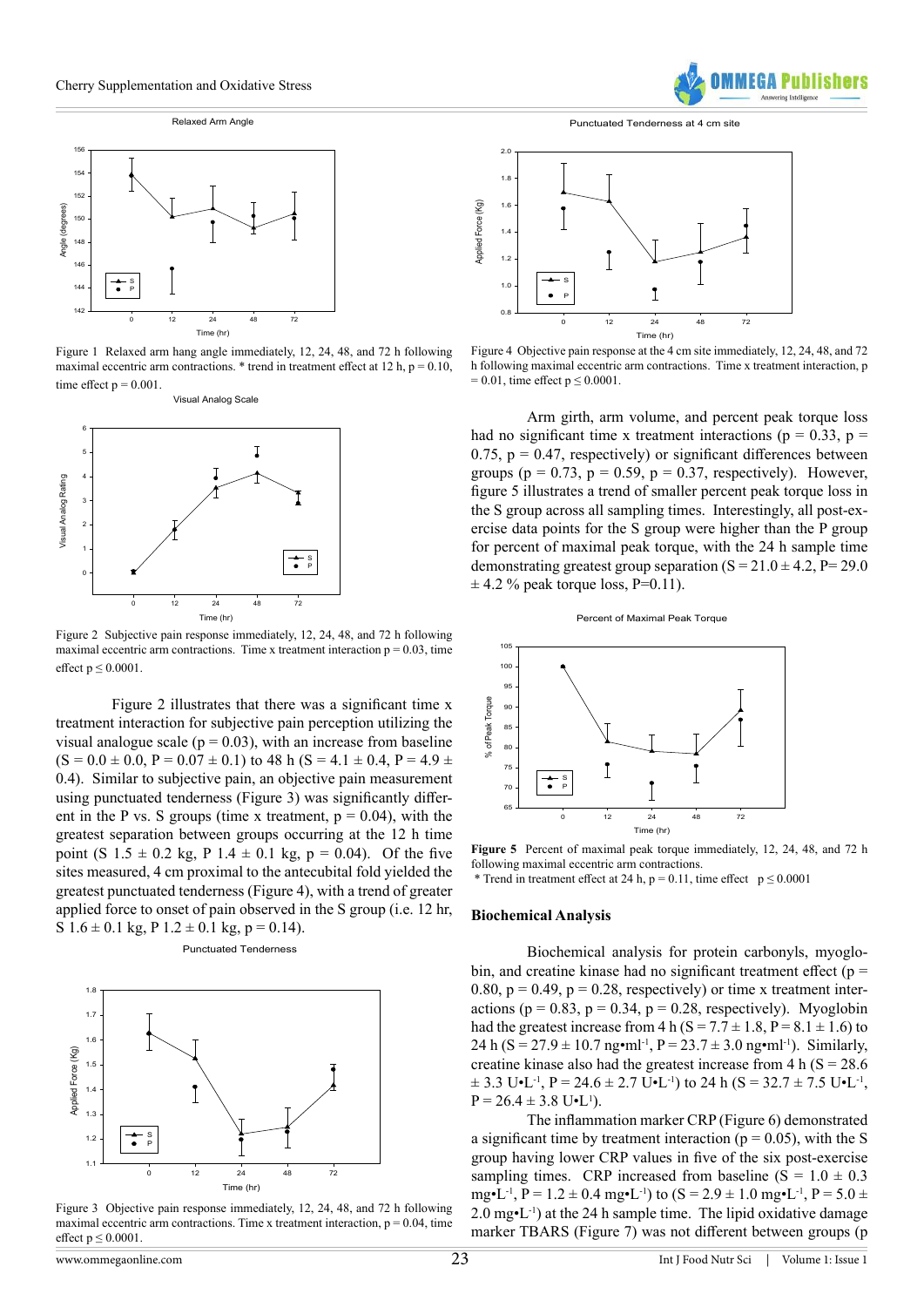#### Relaxed Arm Angle



Figure 1 Relaxed arm hang angle immediately, 12, 24, 48, and 72 h following maximal eccentric arm contractions.  $*$  trend in treatment effect at 12 h, p = 0.10, time effect  $p = 0.001$ .



Figure 2 Subjective pain response immediately, 12, 24, 48, and 72 h following maximal eccentric arm contractions. Time x treatment interaction  $p = 0.03$ , time effect  $p \leq 0.0001$ .

Figure 2 illustrates that there was a significant time x treatment interaction for subjective pain perception utilizing the visual analogue scale ( $p = 0.03$ ), with an increase from baseline  $(S = 0.0 \pm 0.0, P = 0.07 \pm 0.1)$  to 48 h  $(S = 4.1 \pm 0.4, P = 4.9 \pm 0.1)$ 0.4). Similar to subjective pain, an objective pain measurement using punctuated tenderness (Figure 3) was significantly different in the P vs. S groups (time x treatment,  $p = 0.04$ ), with the greatest separation between groups occurring at the 12 h time point (S  $1.5 \pm 0.2$  kg, P  $1.4 \pm 0.1$  kg, p = 0.04). Of the five sites measured, 4 cm proximal to the antecubital fold yielded the greatest punctuated tenderness (Figure 4), with a trend of greater applied force to onset of pain observed in the S group (i.e. 12 hr, S  $1.6 \pm 0.1$  kg, P  $1.2 \pm 0.1$  kg, p = 0.14).

Punctuated Tenderness



Figure 3 Objective pain response immediately, 12, 24, 48, and 72 h following maximal eccentric arm contractions. Time x treatment interaction,  $p = 0.04$ , time effect  $p \leq 0.0001$ .

Punctuated Tenderness at 4 cm site

**MFGA Publis** 



Figure 4 Objective pain response at the 4 cm site immediately, 12, 24, 48, and 72 h following maximal eccentric arm contractions. Time x treatment interaction, p  $= 0.01$ , time effect  $p \le 0.0001$ .

Arm girth, arm volume, and percent peak torque loss had no significant time x treatment interactions ( $p = 0.33$ ,  $p =$ 0.75,  $p = 0.47$ , respectively) or significant differences between groups ( $p = 0.73$ ,  $p = 0.59$ ,  $p = 0.37$ , respectively). However, figure 5 illustrates a trend of smaller percent peak torque loss in the S group across all sampling times. Interestingly, all post-exercise data points for the S group were higher than the P group for percent of maximal peak torque, with the 24 h sample time demonstrating greatest group separation  $(S = 21.0 \pm 4.2, P = 29.0$  $\pm$  4.2 % peak torque loss, P=0.11).





**Figure 5** Percent of maximal peak torque immediately, 12, 24, 48, and 72 h following maximal eccentric arm contractions.

\* Trend in treatment effect at 24 h,  $p = 0.11$ , time effect  $p \le 0.0001$ 

#### **Biochemical Analysis**

Biochemical analysis for protein carbonyls, myoglobin, and creatine kinase had no significant treatment effect ( $p =$ 0.80,  $p = 0.49$ ,  $p = 0.28$ , respectively) or time x treatment interactions ( $p = 0.83$ ,  $p = 0.34$ ,  $p = 0.28$ , respectively). Myoglobin had the greatest increase from  $4 h (S = 7.7 \pm 1.8, P = 8.1 \pm 1.6)$  to 24 h (S = 27.9  $\pm$  10.7 ng•ml<sup>-1</sup>, P = 23.7  $\pm$  3.0 ng•ml<sup>-1</sup>). Similarly, creatine kinase also had the greatest increase from  $4 h (S = 28.6$  $\pm$  3.3 U•L<sup>-1</sup>, P = 24.6  $\pm$  2.7 U•L<sup>-1</sup>) to 24 h (S = 32.7  $\pm$  7.5 U•L<sup>-1</sup>,  $P = 26.4 \pm 3.8 \text{ U} \cdot \text{L}^1$ .

The inflammation marker CRP (Figure 6) demonstrated a significant time by treatment interaction ( $p = 0.05$ ), with the S group having lower CRP values in five of the six post-exercise sampling times. CRP increased from baseline  $(S = 1.0 \pm 0.3)$ mg•L<sup>-1</sup>, P = 1.2 ± 0.4 mg•L<sup>-1</sup>) to (S = 2.9 ± 1.0 mg•L<sup>-1</sup>, P = 5.0 ±  $2.0 \text{ mg-l}^{-1}$ ) at the 24 h sample time. The lipid oxidative damage marker TBARS (Figure 7) was not different between groups (p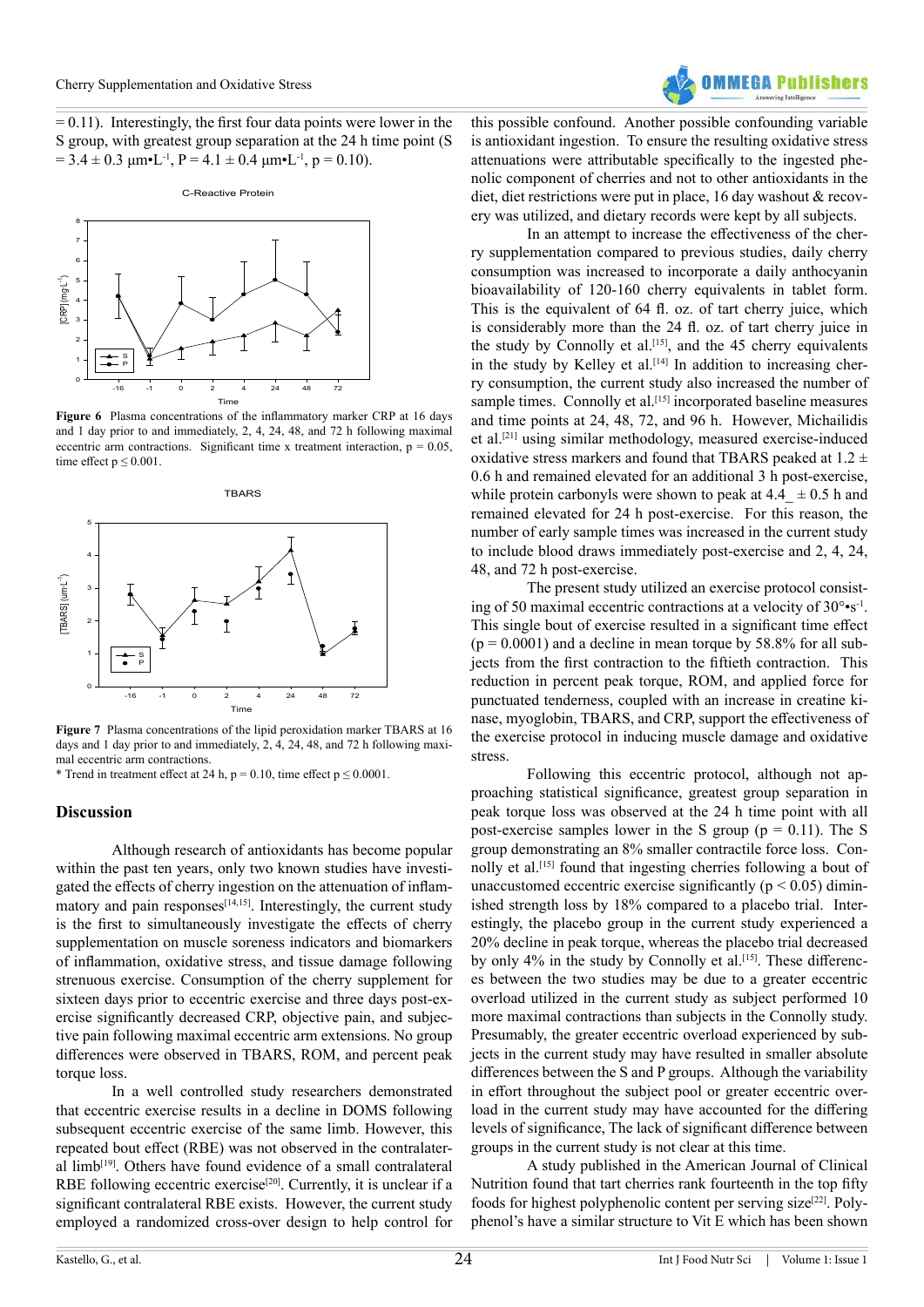$= 0.11$ ). Interestingly, the first four data points were lower in the S group, with greatest group separation at the 24 h time point (S  $= 3.4 \pm 0.3 \mu m \cdot L^{-1}$ ,  $P = 4.1 \pm 0.4 \mu m \cdot L^{-1}$ ,  $p = 0.10$ ).





**Figure 6** Plasma concentrations of the inflammatory marker CRP at 16 days and 1 day prior to and immediately, 2, 4, 24, 48, and 72 h following maximal eccentric arm contractions. Significant time x treatment interaction,  $p = 0.05$ , time effect  $p \le 0.001$ .

**TBARS** 



**Figure 7** Plasma concentrations of the lipid peroxidation marker TBARS at 16 days and 1 day prior to and immediately, 2, 4, 24, 48, and 72 h following maximal eccentric arm contractions.

\* Trend in treatment effect at 24 h,  $p = 0.10$ , time effect  $p \le 0.0001$ .

### **Discussion**

Although research of antioxidants has become popular within the past ten years, only two known studies have investigated the effects of cherry ingestion on the attenuation of inflammatory and pain responses $^{[14,15]}$ . Interestingly, the current study is the first to simultaneously investigate the effects of cherry supplementation on muscle soreness indicators and biomarkers of inflammation, oxidative stress, and tissue damage following strenuous exercise. Consumption of the cherry supplement for sixteen days prior to eccentric exercise and three days post-exercise significantly decreased CRP, objective pain, and subjective pain following maximal eccentric arm extensions. No group differences were observed in TBARS, ROM, and percent peak torque loss.

In a well controlled study researchers demonstrated that eccentric exercise results in a decline in DOMS following subsequent eccentric exercise of the same limb. However, this repeated bout effect (RBE) was not observed in the contralateral limb<sup>[19]</sup>. Others have found evidence of a small contralateral RBE following eccentric exercise<sup>[20]</sup>. Currently, it is unclear if a significant contralateral RBE exists. However, the current study employed a randomized cross-over design to help control for



this possible confound. Another possible confounding variable is antioxidant ingestion. To ensure the resulting oxidative stress attenuations were attributable specifically to the ingested phenolic component of cherries and not to other antioxidants in the diet, diet restrictions were put in place, 16 day washout & recovery was utilized, and dietary records were kept by all subjects.

In an attempt to increase the effectiveness of the cherry supplementation compared to previous studies, daily cherry consumption was increased to incorporate a daily anthocyanin bioavailability of 120-160 cherry equivalents in tablet form. This is the equivalent of 64 fl. oz. of tart cherry juice, which is considerably more than the 24 fl. oz. of tart cherry juice in the study by Connolly et al.<sup>[15]</sup>, and the 45 cherry equivalents in the study by Kelley et al.<sup>[14]</sup> In addition to increasing cherry consumption, the current study also increased the number of sample times. Connolly et al.<sup>[15]</sup> incorporated baseline measures and time points at 24, 48, 72, and 96 h. However, Michailidis et al.[21] using similar methodology, measured exercise-induced oxidative stress markers and found that TBARS peaked at  $1.2 \pm$ 0.6 h and remained elevated for an additional 3 h post-exercise, while protein carbonyls were shown to peak at  $4.4 \pm 0.5$  h and remained elevated for 24 h post-exercise. For this reason, the number of early sample times was increased in the current study to include blood draws immediately post-exercise and 2, 4, 24, 48, and 72 h post-exercise.

The present study utilized an exercise protocol consisting of 50 maximal eccentric contractions at a velocity of 30°•s-1. This single bout of exercise resulted in a significant time effect  $(p = 0.0001)$  and a decline in mean torque by 58.8% for all subjects from the first contraction to the fiftieth contraction. This reduction in percent peak torque, ROM, and applied force for punctuated tenderness, coupled with an increase in creatine kinase, myoglobin, TBARS, and CRP, support the effectiveness of the exercise protocol in inducing muscle damage and oxidative stress.

Following this eccentric protocol, although not approaching statistical significance, greatest group separation in peak torque loss was observed at the 24 h time point with all post-exercise samples lower in the S group ( $p = 0.11$ ). The S group demonstrating an 8% smaller contractile force loss. Connolly et al.<sup>[15]</sup> found that ingesting cherries following a bout of unaccustomed eccentric exercise significantly ( $p < 0.05$ ) diminished strength loss by 18% compared to a placebo trial. Interestingly, the placebo group in the current study experienced a 20% decline in peak torque, whereas the placebo trial decreased by only  $4\%$  in the study by Connolly et al.<sup>[15]</sup>. These differences between the two studies may be due to a greater eccentric overload utilized in the current study as subject performed 10 more maximal contractions than subjects in the Connolly study. Presumably, the greater eccentric overload experienced by subjects in the current study may have resulted in smaller absolute differences between the S and P groups. Although the variability in effort throughout the subject pool or greater eccentric overload in the current study may have accounted for the differing levels of significance, The lack of significant difference between groups in the current study is not clear at this time.

A study published in the American Journal of Clinical Nutrition found that tart cherries rank fourteenth in the top fifty foods for highest polyphenolic content per serving size $[22]$ . Polyphenol's have a similar structure to Vit E which has been shown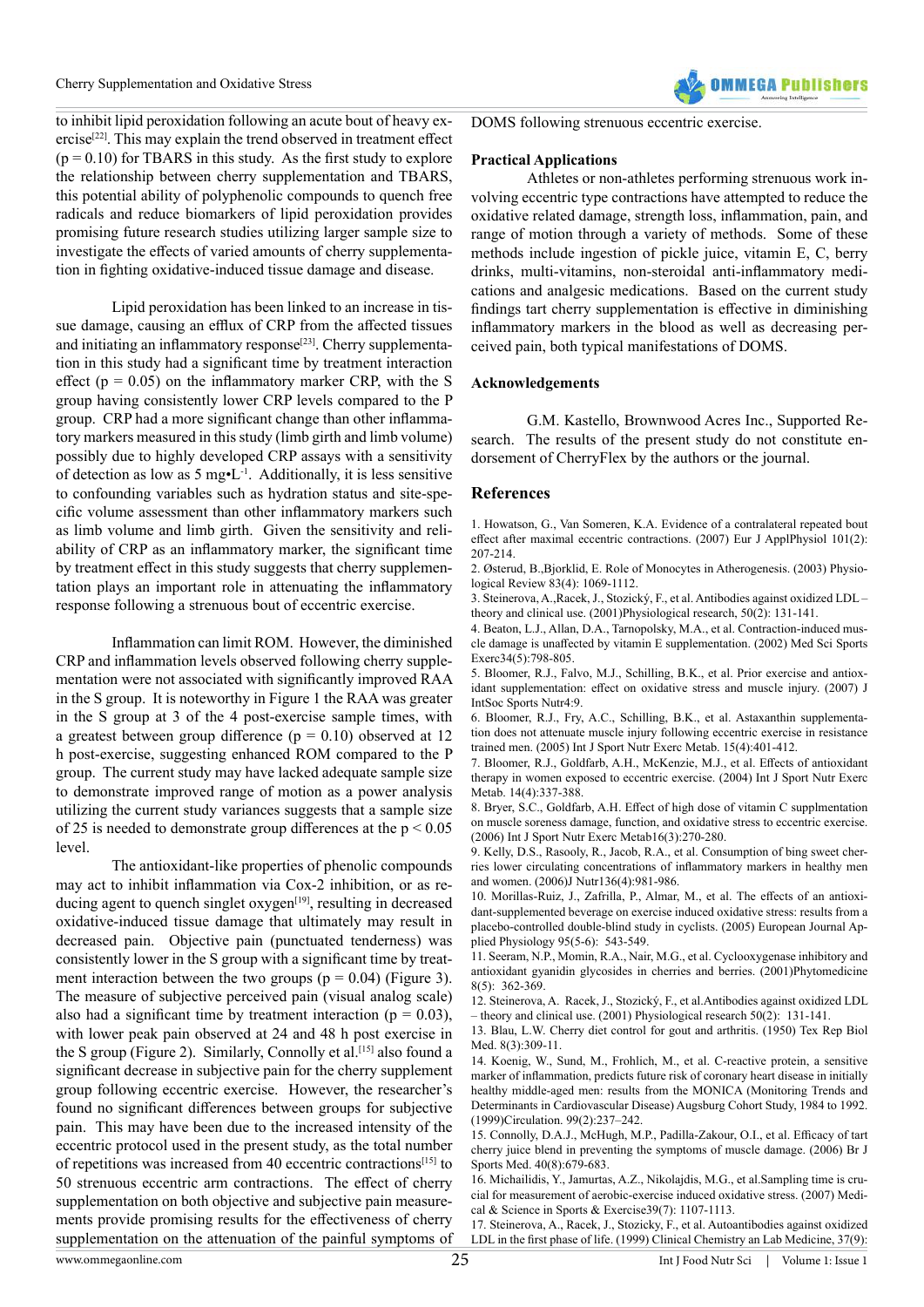

to inhibit lipid peroxidation following an acute bout of heavy exercise[22]. This may explain the trend observed in treatment effect  $(p = 0.10)$  for TBARS in this study. As the first study to explore the relationship between cherry supplementation and TBARS, this potential ability of polyphenolic compounds to quench free radicals and reduce biomarkers of lipid peroxidation provides promising future research studies utilizing larger sample size to investigate the effects of varied amounts of cherry supplementation in fighting oxidative-induced tissue damage and disease.

Lipid peroxidation has been linked to an increase in tissue damage, causing an efflux of CRP from the affected tissues and initiating an inflammatory response<sup>[23]</sup>. Cherry supplementation in this study had a significant time by treatment interaction effect ( $p = 0.05$ ) on the inflammatory marker CRP, with the S group having consistently lower CRP levels compared to the P group. CRP had a more significant change than other inflammatory markers measured in this study (limb girth and limb volume) possibly due to highly developed CRP assays with a sensitivity of detection as low as  $5 \text{ mg} \cdot L^{-1}$ . Additionally, it is less sensitive to confounding variables such as hydration status and site-specific volume assessment than other inflammatory markers such as limb volume and limb girth. Given the sensitivity and reliability of CRP as an inflammatory marker, the significant time by treatment effect in this study suggests that cherry supplementation plays an important role in attenuating the inflammatory response following a strenuous bout of eccentric exercise.

Inflammation can limit ROM. However, the diminished CRP and inflammation levels observed following cherry supplementation were not associated with significantly improved RAA in the S group. It is noteworthy in Figure 1 the RAA was greater in the S group at 3 of the 4 post-exercise sample times, with a greatest between group difference  $(p = 0.10)$  observed at 12 h post-exercise, suggesting enhanced ROM compared to the P group. The current study may have lacked adequate sample size to demonstrate improved range of motion as a power analysis utilizing the current study variances suggests that a sample size of 25 is needed to demonstrate group differences at the  $p < 0.05$ level.

The antioxidant-like properties of phenolic compounds may act to inhibit inflammation via Cox-2 inhibition, or as reducing agent to quench singlet  $oxygen<sup>[19]</sup>$ , resulting in decreased oxidative-induced tissue damage that ultimately may result in decreased pain. Objective pain (punctuated tenderness) was consistently lower in the S group with a significant time by treatment interaction between the two groups ( $p = 0.04$ ) (Figure 3). The measure of subjective perceived pain (visual analog scale) also had a significant time by treatment interaction ( $p = 0.03$ ), with lower peak pain observed at 24 and 48 h post exercise in the S group (Figure 2). Similarly, Connolly et al.<sup>[15]</sup> also found a significant decrease in subjective pain for the cherry supplement group following eccentric exercise. However, the researcher's found no significant differences between groups for subjective pain. This may have been due to the increased intensity of the eccentric protocol used in the present study, as the total number of repetitions was increased from 40 eccentric contractions[15] to 50 strenuous eccentric arm contractions. The effect of cherry supplementation on both objective and subjective pain measurements provide promising results for the effectiveness of cherry supplementation on the attenuation of the painful symptoms of

DOMS following strenuous eccentric exercise.

#### **Practical Applications**

Athletes or non-athletes performing strenuous work involving eccentric type contractions have attempted to reduce the oxidative related damage, strength loss, inflammation, pain, and range of motion through a variety of methods. Some of these methods include ingestion of pickle juice, vitamin E, C, berry drinks, multi-vitamins, non-steroidal anti-inflammatory medications and analgesic medications. Based on the current study findings tart cherry supplementation is effective in diminishing inflammatory markers in the blood as well as decreasing perceived pain, both typical manifestations of DOMS.

### **Acknowledgements**

G.M. Kastello, Brownwood Acres Inc., Supported Research. The results of the present study do not constitute endorsement of CherryFlex by the authors or the journal.

### **References**

[1. Howatson, G., Van Someren, K.A. Evidence of a contralateral repeated bout](http://www.ncbi.nlm.nih.gov/pubmed/17534644) [effect after maximal eccentric contractions. \(2007\) Eur J ApplPhysiol 101\(2\):](http://www.ncbi.nlm.nih.gov/pubmed/17534644) [207-214.](http://www.ncbi.nlm.nih.gov/pubmed/17534644)

[2. Østerud, B.,Bjorklid, E. Role of Monocytes in Atherogenesis. \(2003\) Physio](http://www.ncbi.nlm.nih.gov/pubmed/14506301)[logical Review 83\(4\): 1069-1112.](http://www.ncbi.nlm.nih.gov/pubmed/14506301)

[3. Steinerova, A.,Racek, J., Stozický, F., et al. Antibodies against oxidized LDL –](http://www.ncbi.nlm.nih.gov/pubmed/11522041) [theory and clinical use. \(2001\)Physiological research, 50\(2\): 131-141.](http://www.ncbi.nlm.nih.gov/pubmed/11522041)

[4. Beaton, L.J., Allan, D.A., Tarnopolsky, M.A., et al. Contraction-induced mus](http://www.ncbi.nlm.nih.gov/pubmed/11984298)[cle damage is unaffected by vitamin E supplementation. \(2002\) Med Sci Sports](http://www.ncbi.nlm.nih.gov/pubmed/11984298) [Exerc34\(5\):798-805.](http://www.ncbi.nlm.nih.gov/pubmed/11984298)

[5. Bloomer, R.J., Falvo, M.J., Schilling, B.K., et al. Prior exercise and antiox](http://www.ncbi.nlm.nih.gov/pubmed/17915021)[idant supplementation: effect on oxidative stress and muscle injury. \(2007\) J](http://www.ncbi.nlm.nih.gov/pubmed/17915021) [IntSoc Sports Nutr4:9.](http://www.ncbi.nlm.nih.gov/pubmed/17915021)

[6. Bloomer, R.J., Fry, A.C., Schilling, B.K., et al. Astaxanthin supplementa](http://www.ncbi.nlm.nih.gov/pubmed/16286671)[tion does not attenuate muscle injury following eccentric exercise in resistance](http://www.ncbi.nlm.nih.gov/pubmed/16286671) [trained men. \(2005\) Int J Sport Nutr Exerc Metab. 15\(4\):401-412.](http://www.ncbi.nlm.nih.gov/pubmed/16286671)

[7. Bloomer, R.J., Goldfarb, A.H., McKenzie, M.J., et al. Effects of antioxidant](http://www.ncbi.nlm.nih.gov/pubmed/15467097) [therapy in women exposed to eccentric exercise. \(2004\) Int J Sport Nutr Exerc](http://www.ncbi.nlm.nih.gov/pubmed/15467097) [Metab. 14\(4\):337-388.](http://www.ncbi.nlm.nih.gov/pubmed/15467097)

[8. Bryer, S.C., Goldfarb, A.H. Effect of high dose of vitamin C supplmentation](http://www.ncbi.nlm.nih.gov/pubmed/16948483) [on muscle soreness damage, function, and oxidative stress to eccentric exercise.](http://www.ncbi.nlm.nih.gov/pubmed/16948483) [\(2006\) Int J Sport Nutr Exerc Metab16\(3\):270-280.](http://www.ncbi.nlm.nih.gov/pubmed/16948483)

[9. Kelly, D.S., Rasooly, R., Jacob, R.A., et al. Consumption of bing sweet cher](http://www.ncbi.nlm.nih.gov/pubmed/16549461)[ries lower circulating concentrations of inflammatory markers in healthy men](http://www.ncbi.nlm.nih.gov/pubmed/16549461) [and women. \(2006\)J Nutr136\(4\):981-986.](http://www.ncbi.nlm.nih.gov/pubmed/16549461)

[10. Morillas-Ruiz, J., Zafrilla, P., Almar, M., et al. The effects of an antioxi](http://www.ncbi.nlm.nih.gov/pubmed/16132121)[dant-supplemented beverage on exercise induced oxidative stress: results from a](http://www.ncbi.nlm.nih.gov/pubmed/16132121) [placebo-controlled double-blind study in cyclists. \(2005\) European Journal Ap](http://www.ncbi.nlm.nih.gov/pubmed/16132121)[plied Physiology 95\(5-6\): 543-549.](http://www.ncbi.nlm.nih.gov/pubmed/16132121)

[11. Seeram, N.P., Momin, R.A., Nair, M.G., et al. Cyclooxygenase inhibitory and](http://www.ncbi.nlm.nih.gov/pubmed/11695879) [antioxidant gyanidin glycosides in cherries and berries. \(2001\)Phytomedicine](http://www.ncbi.nlm.nih.gov/pubmed/11695879) [8\(5\): 362-369.](http://www.ncbi.nlm.nih.gov/pubmed/11695879)

[12. Steinerova, A. Racek, J., Stozický, F., et al.Antibodies against oxidized LDL](http://www.ncbi.nlm.nih.gov/pubmed/11522041) [– theory and clinical use. \(2001\) Physiological research 50\(2\): 131-141.](http://www.ncbi.nlm.nih.gov/pubmed/11522041)

[13. Blau, L.W. Cherry diet control for gout and arthritis. \(1950\) Tex Rep Biol](http://www.ncbi.nlm.nih.gov/pubmed/14776685) [Med. 8\(3\):309-11.](http://www.ncbi.nlm.nih.gov/pubmed/14776685)

[14. Koenig, W., Sund, M., Frohlich, M., et al. C-reactive protein, a sensitive](http://www.ncbi.nlm.nih.gov/pubmed/9892589) [marker of inflammation, predicts future risk of coronary heart disease in initially](http://www.ncbi.nlm.nih.gov/pubmed/9892589) [healthy middle-aged men: results from the MONICA \(Monitoring Trends and](http://www.ncbi.nlm.nih.gov/pubmed/9892589) [Determinants in Cardiovascular Disease\) Augsburg Cohort Study, 1984 to 1992.](http://www.ncbi.nlm.nih.gov/pubmed/9892589) [\(1999\)Circulation. 99\(2\):237–242.](http://www.ncbi.nlm.nih.gov/pubmed/9892589)

[15. Connolly, D.A.J., McHugh, M.P., Padilla-Zakour, O.I., et al. Efficacy of tart](http://www.ncbi.nlm.nih.gov/pubmed/16790484) [cherry juice blend in preventing the symptoms of muscle damage. \(2006\) Br J](http://www.ncbi.nlm.nih.gov/pubmed/16790484) [Sports Med. 40\(8\):679-683.](http://www.ncbi.nlm.nih.gov/pubmed/16790484)

[16. Michailidis, Y., Jamurtas, A.Z., Nikolajdis, M.G., et al.Sampling time is cru](http://www.ncbi.nlm.nih.gov/pubmed/17596778)[cial for measurement of aerobic-exercise induced oxidative stress. \(2007\) Medi](http://www.ncbi.nlm.nih.gov/pubmed/17596778)[cal & Science in Sports & Exercise39\(7\): 1107-1113.](http://www.ncbi.nlm.nih.gov/pubmed/17596778)

[17. Steinerova, A., Racek, J., Stozicky, F., et al. Autoantibodies against oxidized](http://www.ncbi.nlm.nih.gov/pubmed/10596958) [LDL in the first phase of life. \(1999\) Clinical Chemistry an Lab Medicine, 37\(9\):](http://www.ncbi.nlm.nih.gov/pubmed/10596958)